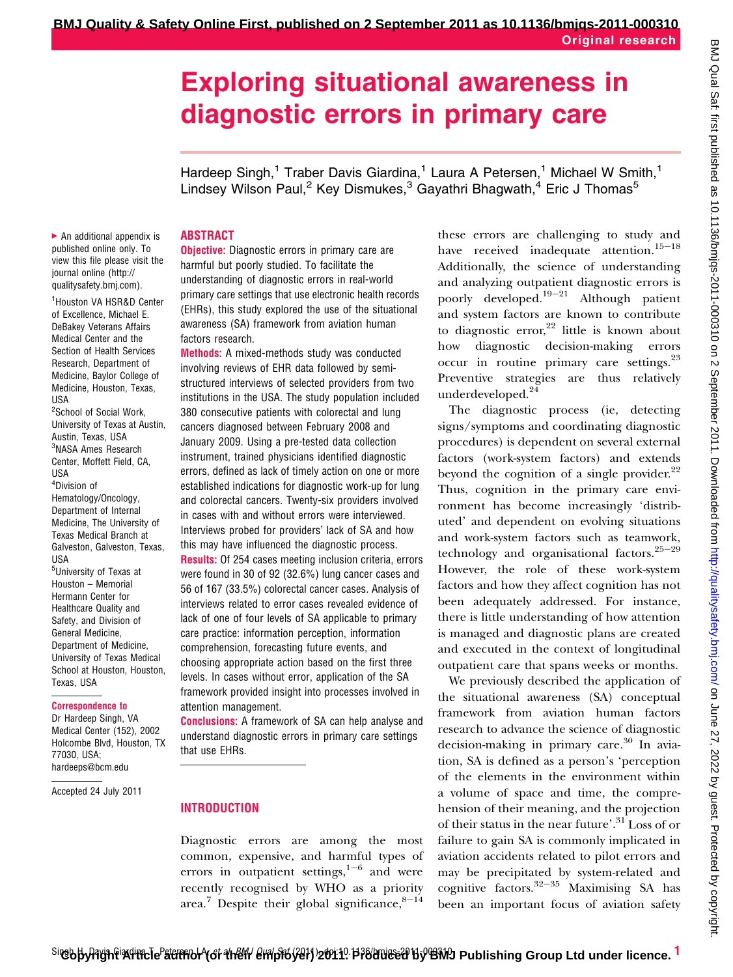# Exploring situational awareness in diagnostic errors in primary care

Hardeep Singh,<sup>1</sup> Traber Davis Giardina,<sup>1</sup> Laura A Petersen,<sup>1</sup> Michael W Smith,<sup>1</sup> Lindsey Wilson Paul,<sup>2</sup> Key Dismukes,<sup>3</sup> Gayathri Bhagwath,<sup>4</sup> Eric J Thomas<sup>5</sup>

## ABSTRACT

 $\blacktriangleright$  An additional appendix is published online only. To view this file please visit the journal online (http:// qualitysafety.bmj.com).

1 Houston VA HSR&D Center of Excellence, Michael E. DeBakey Veterans Affairs Medical Center and the Section of Health Services Research, Department of Medicine, Baylor College of Medicine, Houston, Texas, USA <sup>2</sup>School of Social Work,

University of Texas at Austin, Austin, Texas, USA 3 NASA Ames Research Center, Moffett Field, CA, USA 4 Division of Hematology/Oncology, Department of Internal Medicine, The University of Texas Medical Branch at Galveston, Galveston, Texas, USA 5 University of Texas at Houston – Memorial Hermann Center for

Healthcare Quality and Safety, and Division of General Medicine, Department of Medicine, University of Texas Medical School at Houston, Houston, Texas, USA

#### Correspondence to

Dr Hardeep Singh, VA Medical Center (152), 2002 Holcombe Blvd, Houston, TX 77030, USA; hardeeps@bcm.edu

Accepted 24 July 2011

**Objective:** Diagnostic errors in primary care are harmful but poorly studied. To facilitate the understanding of diagnostic errors in real-world primary care settings that use electronic health records (EHRs), this study explored the use of the situational awareness (SA) framework from aviation human factors research.

**Methods:** A mixed-methods study was conducted involving reviews of EHR data followed by semistructured interviews of selected providers from two institutions in the USA. The study population included 380 consecutive patients with colorectal and lung cancers diagnosed between February 2008 and January 2009. Using a pre-tested data collection instrument, trained physicians identified diagnostic errors, defined as lack of timely action on one or more established indications for diagnostic work-up for lung and colorectal cancers. Twenty-six providers involved in cases with and without errors were interviewed. Interviews probed for providers' lack of SA and how this may have influenced the diagnostic process.

Results: Of 254 cases meeting inclusion criteria, errors were found in 30 of 92 (32.6%) lung cancer cases and 56 of 167 (33.5%) colorectal cancer cases. Analysis of interviews related to error cases revealed evidence of lack of one of four levels of SA applicable to primary care practice: information perception, information comprehension, forecasting future events, and choosing appropriate action based on the first three levels. In cases without error, application of the SA framework provided insight into processes involved in attention management.

**Conclusions:** A framework of SA can help analyse and understand diagnostic errors in primary care settings that use EHRs.

#### INTRODUCTION

Diagnostic errors are among the most common, expensive, and harmful types of errors in outpatient settings, $1-6$  and were recently recognised by WHO as a priority area.<sup>7</sup> Despite their global significance, $8-14$ 

these errors are challenging to study and have received inadequate attention.<sup>15-18</sup> Additionally, the science of understanding and analyzing outpatient diagnostic errors is poorly developed.<sup>19-21</sup> Although patient and system factors are known to contribute to diagnostic error, $22$  little is known about how diagnostic decision-making errors occur in routine primary care settings.<sup>23</sup> Preventive strategies are thus relatively underdeveloped.<sup>24</sup>

The diagnostic process (ie, detecting signs/symptoms and coordinating diagnostic procedures) is dependent on several external factors (work-system factors) and extends beyond the cognition of a single provider. $^{22}$ Thus, cognition in the primary care environment has become increasingly 'distributed' and dependent on evolving situations and work-system factors such as teamwork, technology and organisational factors.<sup>25-29</sup> However, the role of these work-system factors and how they affect cognition has not been adequately addressed. For instance, there is little understanding of how attention is managed and diagnostic plans are created and executed in the context of longitudinal outpatient care that spans weeks or months.

We previously described the application of the situational awareness (SA) conceptual framework from aviation human factors research to advance the science of diagnostic decision-making in primary care. $30$  In aviation, SA is defined as a person's 'perception of the elements in the environment within a volume of space and time, the comprehension of their meaning, and the projection of their status in the near future'.<sup>31</sup> Loss of or failure to gain SA is commonly implicated in aviation accidents related to pilot errors and may be precipitated by system-related and cognitive factors. $32-35$  Maximising SA has been an important focus of aviation safety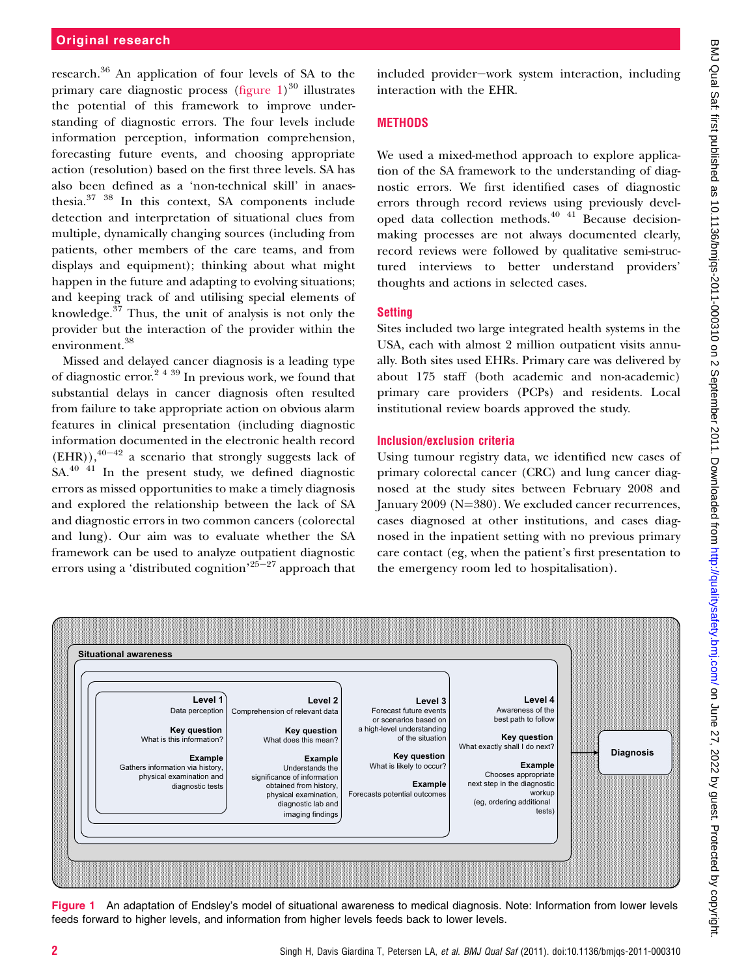# Original research

research.<sup>36</sup> An application of four levels of SA to the primary care diagnostic process (figure  $1)^{30}$  illustrates the potential of this framework to improve understanding of diagnostic errors. The four levels include information perception, information comprehension, forecasting future events, and choosing appropriate action (resolution) based on the first three levels. SA has also been defined as a 'non-technical skill' in anaesthesia.37 38 In this context, SA components include detection and interpretation of situational clues from multiple, dynamically changing sources (including from patients, other members of the care teams, and from displays and equipment); thinking about what might happen in the future and adapting to evolving situations; and keeping track of and utilising special elements of knowledge.<sup>37</sup> Thus, the unit of analysis is not only the provider but the interaction of the provider within the environment.<sup>38</sup>

Missed and delayed cancer diagnosis is a leading type of diagnostic error.<sup>2 4 39</sup> In previous work, we found that substantial delays in cancer diagnosis often resulted from failure to take appropriate action on obvious alarm features in clinical presentation (including diagnostic information documented in the electronic health record  $(EHR)$ ,<sup>40-42</sup> a scenario that strongly suggests lack of  $SA<sup>40</sup>$ <sup>41</sup> In the present study, we defined diagnostic errors as missed opportunities to make a timely diagnosis and explored the relationship between the lack of SA and diagnostic errors in two common cancers (colorectal and lung). Our aim was to evaluate whether the SA framework can be used to analyze outpatient diagnostic errors using a 'distributed cognition'<sup>25–27</sup> approach that

included provider-work system interaction, including interaction with the EHR.

# **METHODS**

We used a mixed-method approach to explore application of the SA framework to the understanding of diagnostic errors. We first identified cases of diagnostic errors through record reviews using previously developed data collection methods. $40<sup>41</sup>$  Because decisionmaking processes are not always documented clearly, record reviews were followed by qualitative semi-structured interviews to better understand providers' thoughts and actions in selected cases.

## **Setting**

Sites included two large integrated health systems in the USA, each with almost 2 million outpatient visits annually. Both sites used EHRs. Primary care was delivered by about 175 staff (both academic and non-academic) primary care providers (PCPs) and residents. Local institutional review boards approved the study.

## Inclusion/exclusion criteria

Using tumour registry data, we identified new cases of primary colorectal cancer (CRC) and lung cancer diagnosed at the study sites between February 2008 and January  $2009$  (N= $380$ ). We excluded cancer recurrences, cases diagnosed at other institutions, and cases diagnosed in the inpatient setting with no previous primary care contact (eg, when the patient's first presentation to the emergency room led to hospitalisation).



Figure 1 An adaptation of Endsley's model of situational awareness to medical diagnosis. Note: Information from lower levels feeds forward to higher levels, and information from higher levels feeds back to lower levels.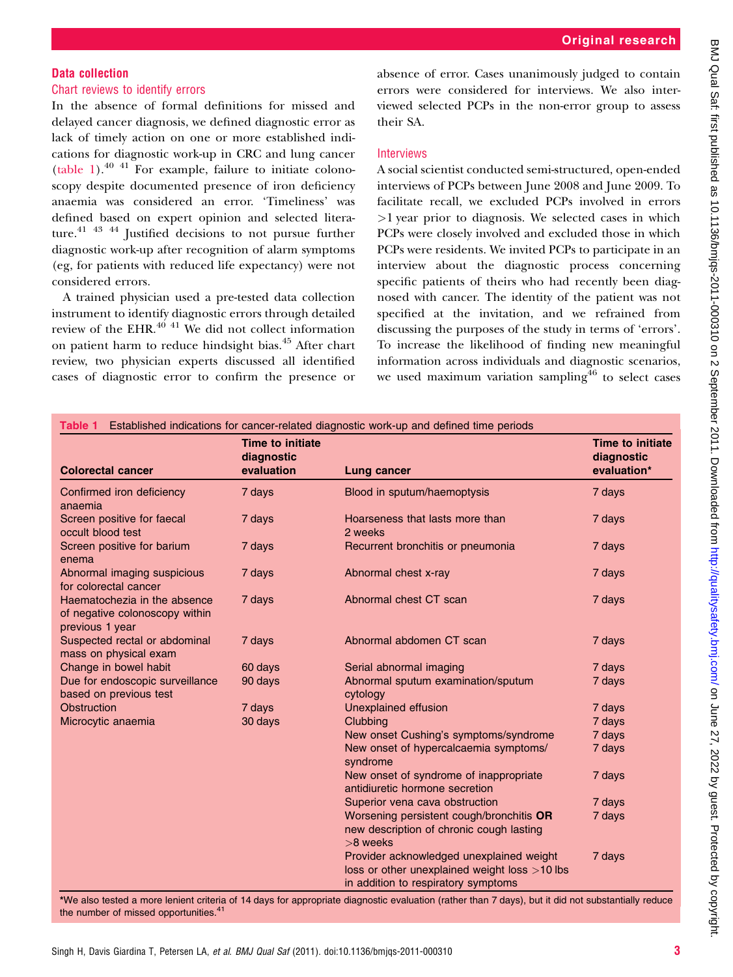# Data collection

# Chart reviews to identify errors

In the absence of formal definitions for missed and delayed cancer diagnosis, we defined diagnostic error as lack of timely action on one or more established indications for diagnostic work-up in CRC and lung cancer (table 1). $^{40}$  41 For example, failure to initiate colonoscopy despite documented presence of iron deficiency anaemia was considered an error. 'Timeliness' was defined based on expert opinion and selected literature.<sup>41</sup> <sup>43</sup> <sup>44</sup> Justified decisions to not pursue further diagnostic work-up after recognition of alarm symptoms (eg, for patients with reduced life expectancy) were not considered errors.

A trained physician used a pre-tested data collection instrument to identify diagnostic errors through detailed review of the EHR. $^{40}$  <sup>41</sup> We did not collect information on patient harm to reduce hindsight bias.<sup>45</sup> After chart review, two physician experts discussed all identified cases of diagnostic error to confirm the presence or

absence of error. Cases unanimously judged to contain errors were considered for interviews. We also interviewed selected PCPs in the non-error group to assess their SA.

## **Interviews**

A social scientist conducted semi-structured, open-ended interviews of PCPs between June 2008 and June 2009. To facilitate recall, we excluded PCPs involved in errors  $>1$  year prior to diagnosis. We selected cases in which PCPs were closely involved and excluded those in which PCPs were residents. We invited PCPs to participate in an interview about the diagnostic process concerning specific patients of theirs who had recently been diagnosed with cancer. The identity of the patient was not specified at the invitation, and we refrained from discussing the purposes of the study in terms of 'errors'. To increase the likelihood of finding new meaningful information across individuals and diagnostic scenarios, we used maximum variation sampling<sup>46</sup> to select cases

| Table 1 Established indications for cancer-related diagnostic work-up and defined time periods |                                              |                                                                                                                                  |                                                      |  |
|------------------------------------------------------------------------------------------------|----------------------------------------------|----------------------------------------------------------------------------------------------------------------------------------|------------------------------------------------------|--|
| <b>Colorectal cancer</b>                                                                       | Time to initiate<br>diagnostic<br>evaluation | Lung cancer                                                                                                                      | <b>Time to initiate</b><br>diagnostic<br>evaluation* |  |
| Confirmed iron deficiency<br>anaemia                                                           | 7 days                                       | Blood in sputum/haemoptysis                                                                                                      | 7 days                                               |  |
| Screen positive for faecal<br>occult blood test                                                | 7 days                                       | Hoarseness that lasts more than<br>2 weeks                                                                                       | 7 days                                               |  |
| Screen positive for barium<br>enema                                                            | 7 days                                       | Recurrent bronchitis or pneumonia                                                                                                | 7 days                                               |  |
| Abnormal imaging suspicious<br>for colorectal cancer                                           | 7 days                                       | Abnormal chest x-ray                                                                                                             | 7 days                                               |  |
| Haematochezia in the absence<br>of negative colonoscopy within<br>previous 1 year              | 7 days                                       | Abnormal chest CT scan                                                                                                           | 7 days                                               |  |
| Suspected rectal or abdominal<br>mass on physical exam                                         | 7 days                                       | Abnormal abdomen CT scan                                                                                                         | 7 days                                               |  |
| Change in bowel habit                                                                          | 60 days                                      | Serial abnormal imaging                                                                                                          | 7 days                                               |  |
| Due for endoscopic surveillance<br>based on previous test                                      | 90 days                                      | Abnormal sputum examination/sputum<br>cytology                                                                                   | 7 days                                               |  |
| Obstruction                                                                                    | 7 days                                       | <b>Unexplained effusion</b>                                                                                                      | 7 days                                               |  |
| Microcytic anaemia                                                                             | 30 days                                      | Clubbing                                                                                                                         | 7 days                                               |  |
|                                                                                                |                                              | New onset Cushing's symptoms/syndrome                                                                                            | 7 days                                               |  |
|                                                                                                |                                              | New onset of hypercalcaemia symptoms/<br>syndrome                                                                                | 7 days                                               |  |
|                                                                                                |                                              | New onset of syndrome of inappropriate<br>antidiuretic hormone secretion                                                         | 7 days                                               |  |
|                                                                                                |                                              | Superior vena cava obstruction                                                                                                   | 7 days                                               |  |
|                                                                                                |                                              | Worsening persistent cough/bronchitis OR<br>new description of chronic cough lasting<br>$>8$ weeks                               | 7 days                                               |  |
|                                                                                                |                                              | Provider acknowledged unexplained weight<br>loss or other unexplained weight loss >10 lbs<br>in addition to respiratory symptoms | 7 days                                               |  |

\*We also tested a more lenient criteria of 14 days for appropriate diagnostic evaluation (rather than 7 days), but it did not substantially reduce the number of missed opportunities.<sup>41</sup>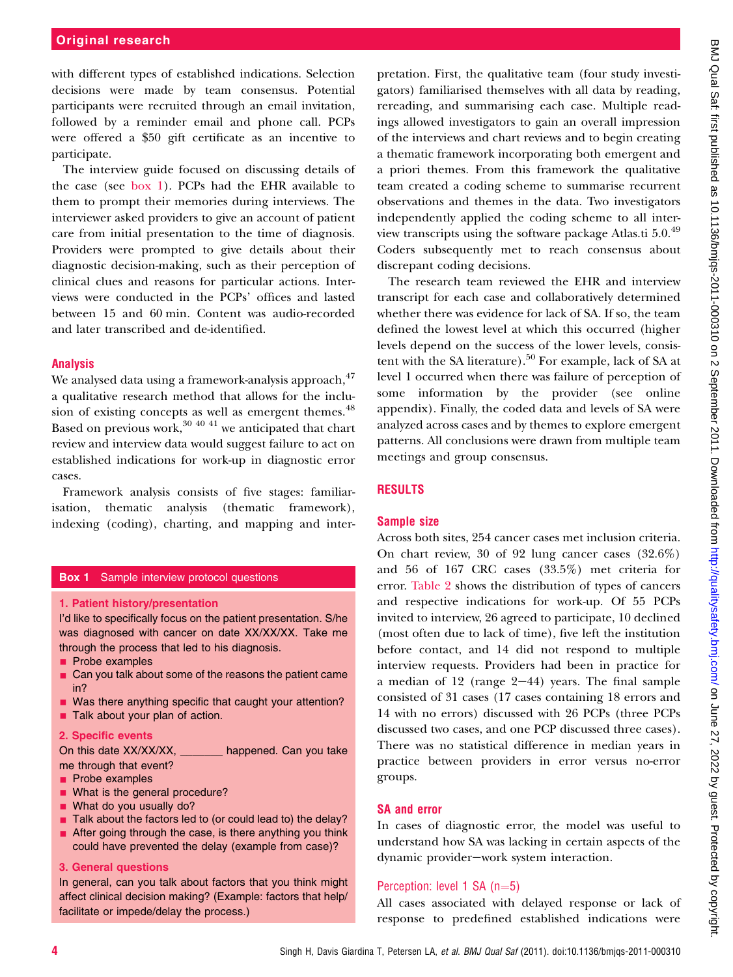with different types of established indications. Selection decisions were made by team consensus. Potential participants were recruited through an email invitation, followed by a reminder email and phone call. PCPs were offered a \$50 gift certificate as an incentive to participate.

The interview guide focused on discussing details of the case (see box 1). PCPs had the EHR available to them to prompt their memories during interviews. The interviewer asked providers to give an account of patient care from initial presentation to the time of diagnosis. Providers were prompted to give details about their diagnostic decision-making, such as their perception of clinical clues and reasons for particular actions. Interviews were conducted in the PCPs' offices and lasted between 15 and 60 min. Content was audio-recorded and later transcribed and de-identified.

# Analysis

We analysed data using a framework-analysis approach, <sup>47</sup> a qualitative research method that allows for the inclusion of existing concepts as well as emergent themes.<sup>48</sup> Based on previous work,  $30\,40\,41$  we anticipated that chart review and interview data would suggest failure to act on established indications for work-up in diagnostic error cases.

Framework analysis consists of five stages: familiarisation, thematic analysis (thematic framework), indexing (coding), charting, and mapping and inter-

#### **Box 1** Sample interview protocol questions

#### 1. Patient history/presentation

I'd like to specifically focus on the patient presentation. S/he was diagnosed with cancer on date XX/XX/XX. Take me through the process that led to his diagnosis.

- **Probe examples**
- **Can you talk about some of the reasons the patient came** in?
- **Nas there anything specific that caught your attention?**
- **Talk about your plan of action.**

#### 2. Specific events

On this date XX/XX/XX, \_\_\_\_\_\_\_ happened. Can you take me through that event?

- **Probe examples**
- **No. 2015** What is the general procedure?
- **Now What do you usually do?**
- $\blacksquare$  Talk about the factors led to (or could lead to) the delay?
- After going through the case, is there anything you think could have prevented the delay (example from case)?

#### 3. General questions

In general, can you talk about factors that you think might affect clinical decision making? (Example: factors that help/ facilitate or impede/delay the process.)

pretation. First, the qualitative team (four study investigators) familiarised themselves with all data by reading, rereading, and summarising each case. Multiple readings allowed investigators to gain an overall impression of the interviews and chart reviews and to begin creating a thematic framework incorporating both emergent and a priori themes. From this framework the qualitative team created a coding scheme to summarise recurrent observations and themes in the data. Two investigators independently applied the coding scheme to all interview transcripts using the software package Atlas.ti 5.0.<sup>49</sup> Coders subsequently met to reach consensus about discrepant coding decisions.

The research team reviewed the EHR and interview transcript for each case and collaboratively determined whether there was evidence for lack of SA. If so, the team defined the lowest level at which this occurred (higher levels depend on the success of the lower levels, consistent with the SA literature).<sup>50</sup> For example, lack of SA at level 1 occurred when there was failure of perception of some information by the provider (see online appendix). Finally, the coded data and levels of SA were analyzed across cases and by themes to explore emergent patterns. All conclusions were drawn from multiple team meetings and group consensus.

# RESULTS

# Sample size

Across both sites, 254 cancer cases met inclusion criteria. On chart review, 30 of 92 lung cancer cases (32.6%) and 56 of 167 CRC cases (33.5%) met criteria for error. Table 2 shows the distribution of types of cancers and respective indications for work-up. Of 55 PCPs invited to interview, 26 agreed to participate, 10 declined (most often due to lack of time), five left the institution before contact, and 14 did not respond to multiple interview requests. Providers had been in practice for a median of  $12$  (range  $2-44$ ) years. The final sample consisted of 31 cases (17 cases containing 18 errors and 14 with no errors) discussed with 26 PCPs (three PCPs discussed two cases, and one PCP discussed three cases). There was no statistical difference in median years in practice between providers in error versus no-error groups.

# SA and error

In cases of diagnostic error, the model was useful to understand how SA was lacking in certain aspects of the dynamic provider-work system interaction.

# Perception: level 1 SA  $(n=5)$

All cases associated with delayed response or lack of response to predefined established indications were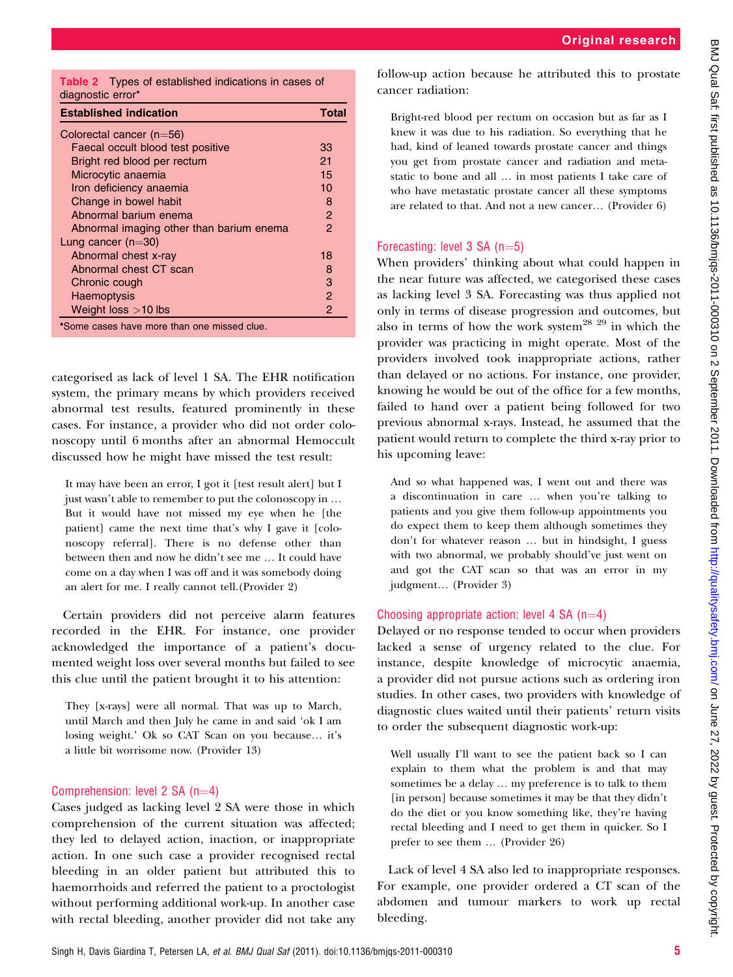Table 2 Types of established indications in cases of diagnostic error\*

| <b>Established indication</b>              | <b>Total</b>   |
|--------------------------------------------|----------------|
| Colorectal cancer $(n=56)$                 |                |
| Faecal occult blood test positive          | 33             |
| Bright red blood per rectum                | 21             |
| Microcytic anaemia                         | 15             |
| Iron deficiency anaemia                    | 10             |
| Change in bowel habit                      | 8              |
| Abnormal barium enema                      | $\mathcal{P}$  |
| Abnormal imaging other than barium enema   | 2              |
| Lung cancer $(n=30)$                       |                |
| Abnormal chest x-ray                       | 18             |
| Abnormal chest CT scan                     | 8              |
| Chronic cough                              | 3              |
| <b>Haemoptysis</b>                         | 2              |
| Weight loss $>10$ lbs                      | $\overline{2}$ |
| *Same cases have more than one missed clue |                |

iome cases have more than one missed

categorised as lack of level 1 SA. The EHR notification system, the primary means by which providers received abnormal test results, featured prominently in these cases. For instance, a provider who did not order colonoscopy until 6 months after an abnormal Hemoccult discussed how he might have missed the test result:

It may have been an error, I got it [test result alert] but I just wasn't able to remember to put the colonoscopy in ... But it would have not missed my eye when he [the patient] came the next time that's why I gave it [colonoscopy referral]. There is no defense other than between then and now he didn't see me ... It could have come on a day when I was off and it was somebody doing an alert for me. I really cannot tell.(Provider 2)

Certain providers did not perceive alarm features recorded in the EHR. For instance, one provider acknowledged the importance of a patient's documented weight loss over several months but failed to see this clue until the patient brought it to his attention:

They [x-rays] were all normal. That was up to March, until March and then July he came in and said 'ok I am losing weight.' Ok so CAT Scan on you because... it's a little bit worrisome now. (Provider 13)

#### Comprehension: level  $2$  SA (n=4)

Cases judged as lacking level 2 SA were those in which comprehension of the current situation was affected; they led to delayed action, inaction, or inappropriate action. In one such case a provider recognised rectal bleeding in an older patient but attributed this to haemorrhoids and referred the patient to a proctologist without performing additional work-up. In another case with rectal bleeding, another provider did not take any follow-up action because he attributed this to prostate cancer radiation:

Bright-red blood per rectum on occasion but as far as I knew it was due to his radiation. So everything that he had, kind of leaned towards prostate cancer and things you get from prostate cancer and radiation and metastatic to bone and all ... in most patients I take care of who have metastatic prostate cancer all these symptoms are related to that. And not a new cancer. (Provider 6)

#### Forecasting: level  $3$  SA (n=5)

When providers' thinking about what could happen in the near future was affected, we categorised these cases as lacking level 3 SA. Forecasting was thus applied not only in terms of disease progression and outcomes, but also in terms of how the work system<sup>28 29</sup> in which the provider was practicing in might operate. Most of the providers involved took inappropriate actions, rather than delayed or no actions. For instance, one provider, knowing he would be out of the office for a few months, failed to hand over a patient being followed for two previous abnormal x-rays. Instead, he assumed that the patient would return to complete the third x-ray prior to his upcoming leave:

And so what happened was, I went out and there was a discontinuation in care ... when you're talking to patients and you give them follow-up appointments you do expect them to keep them although sometimes they don't for whatever reason ... but in hindsight, I guess with two abnormal, we probably should've just went on and got the CAT scan so that was an error in my judgment... (Provider 3)

#### Choosing appropriate action: level 4 SA  $(n=4)$

Delayed or no response tended to occur when providers lacked a sense of urgency related to the clue. For instance, despite knowledge of microcytic anaemia, a provider did not pursue actions such as ordering iron studies. In other cases, two providers with knowledge of diagnostic clues waited until their patients' return visits to order the subsequent diagnostic work-up:

Well usually I'll want to see the patient back so I can explain to them what the problem is and that may sometimes be a delay ... my preference is to talk to them [in person] because sometimes it may be that they didn't do the diet or you know something like, they're having rectal bleeding and I need to get them in quicker. So I prefer to see them ... (Provider 26)

Lack of level 4 SA also led to inappropriate responses. For example, one provider ordered a CT scan of the abdomen and tumour markers to work up rectal bleeding.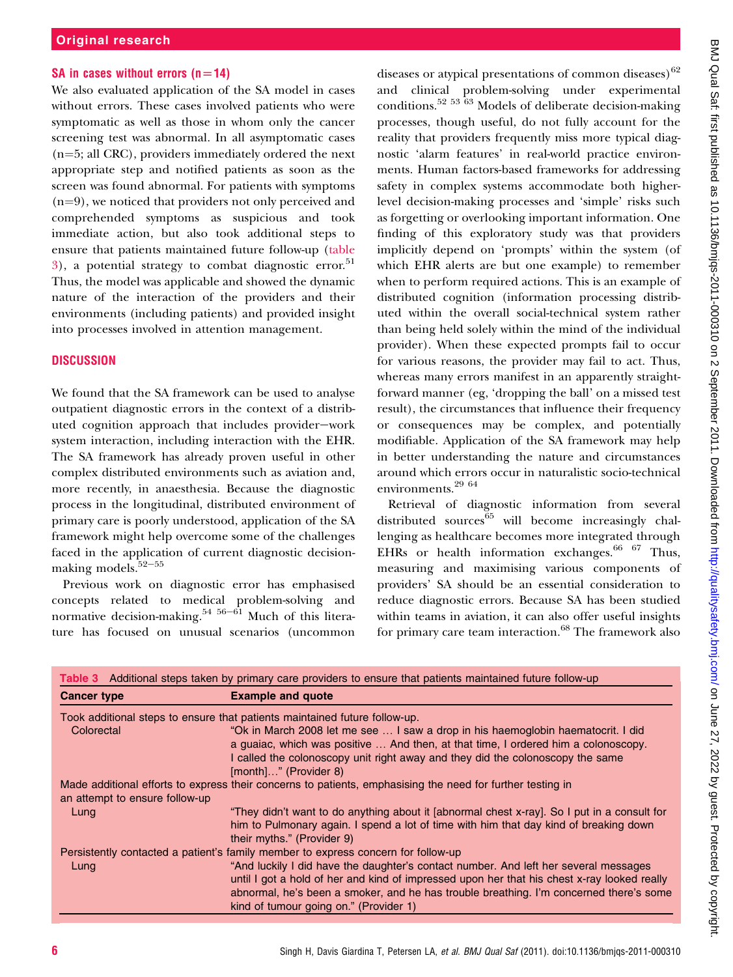## SA in cases without errors  $(n=14)$

We also evaluated application of the SA model in cases without errors. These cases involved patients who were symptomatic as well as those in whom only the cancer screening test was abnormal. In all asymptomatic cases  $(n=5; \text{ all CRC})$ , providers immediately ordered the next appropriate step and notified patients as soon as the screen was found abnormal. For patients with symptoms  $(n=9)$ , we noticed that providers not only perceived and comprehended symptoms as suspicious and took immediate action, but also took additional steps to ensure that patients maintained future follow-up (table  $3$ ), a potential strategy to combat diagnostic error.<sup>51</sup> Thus, the model was applicable and showed the dynamic nature of the interaction of the providers and their environments (including patients) and provided insight into processes involved in attention management.

# **DISCUSSION**

We found that the SA framework can be used to analyse outpatient diagnostic errors in the context of a distributed cognition approach that includes provider-work system interaction, including interaction with the EHR. The SA framework has already proven useful in other complex distributed environments such as aviation and, more recently, in anaesthesia. Because the diagnostic process in the longitudinal, distributed environment of primary care is poorly understood, application of the SA framework might help overcome some of the challenges faced in the application of current diagnostic decisionmaking models. $52-55$ 

Previous work on diagnostic error has emphasised concepts related to medical problem-solving and normative decision-making.<sup>54 56-61</sup> Much of this literature has focused on unusual scenarios (uncommon

diseases or atypical presentations of common diseases) $62$ and clinical problem-solving under experimental conditions.52 53 63 Models of deliberate decision-making processes, though useful, do not fully account for the reality that providers frequently miss more typical diagnostic 'alarm features' in real-world practice environments. Human factors-based frameworks for addressing safety in complex systems accommodate both higherlevel decision-making processes and 'simple' risks such as forgetting or overlooking important information. One finding of this exploratory study was that providers implicitly depend on 'prompts' within the system (of which EHR alerts are but one example) to remember when to perform required actions. This is an example of distributed cognition (information processing distributed within the overall social-technical system rather than being held solely within the mind of the individual provider). When these expected prompts fail to occur for various reasons, the provider may fail to act. Thus, whereas many errors manifest in an apparently straightforward manner (eg, 'dropping the ball' on a missed test result), the circumstances that influence their frequency or consequences may be complex, and potentially modifiable. Application of the SA framework may help in better understanding the nature and circumstances around which errors occur in naturalistic socio-technical environments.29 64

Retrieval of diagnostic information from several distributed sources $65$  will become increasingly challenging as healthcare becomes more integrated through EHRs or health information exchanges.<sup>66 67</sup> Thus, measuring and maximising various components of providers' SA should be an essential consideration to reduce diagnostic errors. Because SA has been studied within teams in aviation, it can also offer useful insights for primary care team interaction.<sup>68</sup> The framework also

| Table 3 Additional steps taken by primary care providers to ensure that patients maintained future follow-up |                                                                                                                                                                                                                                                                                                                         |  |
|--------------------------------------------------------------------------------------------------------------|-------------------------------------------------------------------------------------------------------------------------------------------------------------------------------------------------------------------------------------------------------------------------------------------------------------------------|--|
| <b>Cancer type</b>                                                                                           | <b>Example and quote</b>                                                                                                                                                                                                                                                                                                |  |
|                                                                                                              | Took additional steps to ensure that patients maintained future follow-up.                                                                                                                                                                                                                                              |  |
| Colorectal                                                                                                   | "Ok in March 2008 let me see  I saw a drop in his haemoglobin haematocrit. I did<br>a guaiac, which was positive  And then, at that time, I ordered him a colonoscopy.<br>I called the colonoscopy unit right away and they did the colonoscopy the same<br>[month]" (Provider 8)                                       |  |
|                                                                                                              | Made additional efforts to express their concerns to patients, emphasising the need for further testing in                                                                                                                                                                                                              |  |
| an attempt to ensure follow-up                                                                               |                                                                                                                                                                                                                                                                                                                         |  |
| Lung                                                                                                         | "They didn't want to do anything about it [abnormal chest x-ray]. So I put in a consult for<br>him to Pulmonary again. I spend a lot of time with him that day kind of breaking down<br>their myths." (Provider 9)                                                                                                      |  |
|                                                                                                              | Persistently contacted a patient's family member to express concern for follow-up                                                                                                                                                                                                                                       |  |
| Lung                                                                                                         | "And luckily I did have the daughter's contact number. And left her several messages<br>until I got a hold of her and kind of impressed upon her that his chest x-ray looked really<br>abnormal, he's been a smoker, and he has trouble breathing. I'm concerned there's some<br>kind of tumour going on." (Provider 1) |  |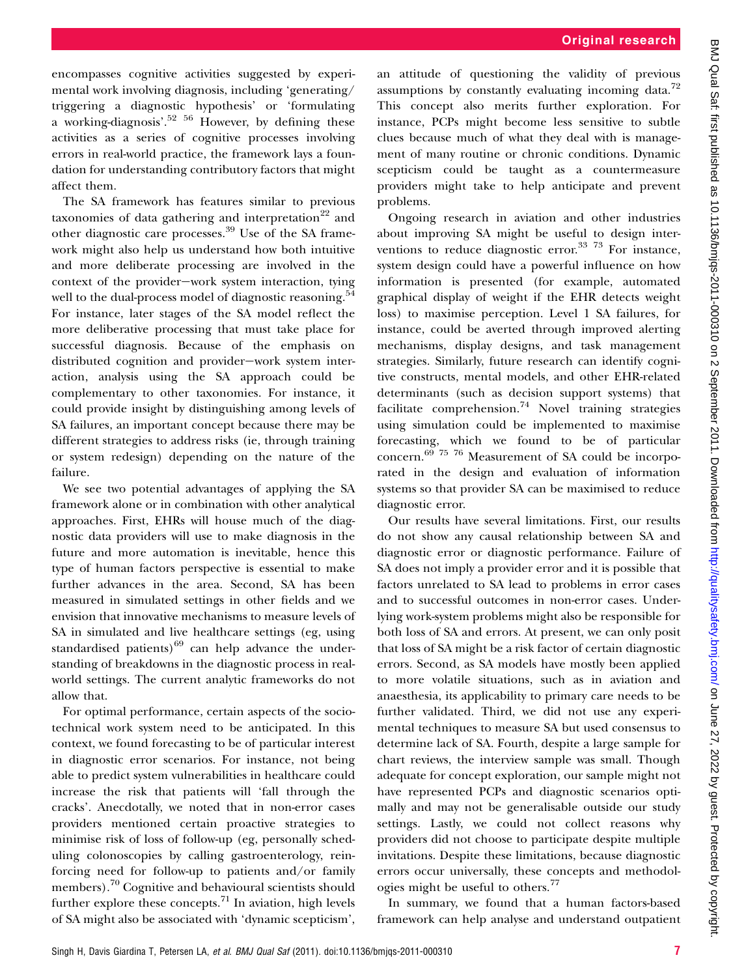encompasses cognitive activities suggested by experimental work involving diagnosis, including 'generating/ triggering a diagnostic hypothesis' or 'formulating a working-diagnosis'.<sup>52</sup> <sup>56</sup> However, by defining these activities as a series of cognitive processes involving errors in real-world practice, the framework lays a foundation for understanding contributory factors that might affect them.

The SA framework has features similar to previous taxonomies of data gathering and interpretation<sup>22</sup> and other diagnostic care processes.<sup>39</sup> Use of the SA framework might also help us understand how both intuitive and more deliberate processing are involved in the context of the provider-work system interaction, tying well to the dual-process model of diagnostic reasoning.<sup>54</sup> For instance, later stages of the SA model reflect the more deliberative processing that must take place for successful diagnosis. Because of the emphasis on distributed cognition and provider-work system interaction, analysis using the SA approach could be complementary to other taxonomies. For instance, it could provide insight by distinguishing among levels of SA failures, an important concept because there may be different strategies to address risks (ie, through training or system redesign) depending on the nature of the failure.

We see two potential advantages of applying the SA framework alone or in combination with other analytical approaches. First, EHRs will house much of the diagnostic data providers will use to make diagnosis in the future and more automation is inevitable, hence this type of human factors perspective is essential to make further advances in the area. Second, SA has been measured in simulated settings in other fields and we envision that innovative mechanisms to measure levels of SA in simulated and live healthcare settings (eg, using standardised patients) $^{69}$  can help advance the understanding of breakdowns in the diagnostic process in realworld settings. The current analytic frameworks do not allow that.

For optimal performance, certain aspects of the sociotechnical work system need to be anticipated. In this context, we found forecasting to be of particular interest in diagnostic error scenarios. For instance, not being able to predict system vulnerabilities in healthcare could increase the risk that patients will 'fall through the cracks'. Anecdotally, we noted that in non-error cases providers mentioned certain proactive strategies to minimise risk of loss of follow-up (eg, personally scheduling colonoscopies by calling gastroenterology, reinforcing need for follow-up to patients and/or family members).<sup>70</sup> Cognitive and behavioural scientists should further explore these concepts.<sup>71</sup> In aviation, high levels of SA might also be associated with 'dynamic scepticism',

an attitude of questioning the validity of previous assumptions by constantly evaluating incoming data.<sup>72</sup> This concept also merits further exploration. For instance, PCPs might become less sensitive to subtle clues because much of what they deal with is management of many routine or chronic conditions. Dynamic scepticism could be taught as a countermeasure providers might take to help anticipate and prevent problems.

Ongoing research in aviation and other industries about improving SA might be useful to design interventions to reduce diagnostic error.<sup>33</sup> <sup>73</sup> For instance, system design could have a powerful influence on how information is presented (for example, automated graphical display of weight if the EHR detects weight loss) to maximise perception. Level 1 SA failures, for instance, could be averted through improved alerting mechanisms, display designs, and task management strategies. Similarly, future research can identify cognitive constructs, mental models, and other EHR-related determinants (such as decision support systems) that facilitate comprehension.<sup>74</sup> Novel training strategies using simulation could be implemented to maximise forecasting, which we found to be of particular concern.69 75 76 Measurement of SA could be incorporated in the design and evaluation of information systems so that provider SA can be maximised to reduce diagnostic error.

Our results have several limitations. First, our results do not show any causal relationship between SA and diagnostic error or diagnostic performance. Failure of SA does not imply a provider error and it is possible that factors unrelated to SA lead to problems in error cases and to successful outcomes in non-error cases. Underlying work-system problems might also be responsible for both loss of SA and errors. At present, we can only posit that loss of SA might be a risk factor of certain diagnostic errors. Second, as SA models have mostly been applied to more volatile situations, such as in aviation and anaesthesia, its applicability to primary care needs to be further validated. Third, we did not use any experimental techniques to measure SA but used consensus to determine lack of SA. Fourth, despite a large sample for chart reviews, the interview sample was small. Though adequate for concept exploration, our sample might not have represented PCPs and diagnostic scenarios optimally and may not be generalisable outside our study settings. Lastly, we could not collect reasons why providers did not choose to participate despite multiple invitations. Despite these limitations, because diagnostic errors occur universally, these concepts and methodologies might be useful to others.<sup>77</sup>

In summary, we found that a human factors-based framework can help analyse and understand outpatient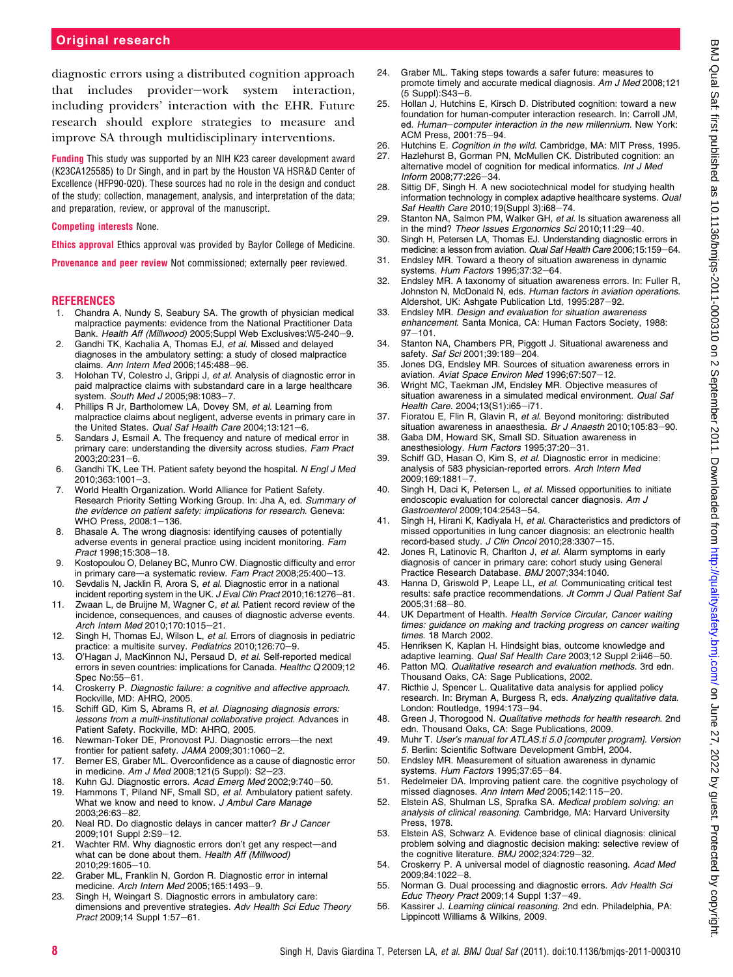# Original research

diagnostic errors using a distributed cognition approach that includes provider-work system interaction, including providers' interaction with the EHR. Future research should explore strategies to measure and improve SA through multidisciplinary interventions.

Funding This study was supported by an NIH K23 career development award (K23CA125585) to Dr Singh, and in part by the Houston VA HSR&D Center of Excellence (HFP90-020). These sources had no role in the design and conduct of the study; collection, management, analysis, and interpretation of the data; and preparation, review, or approval of the manuscript.

#### Competing interests None.

Ethics approval Ethics approval was provided by Baylor College of Medicine.

Provenance and peer review Not commissioned; externally peer reviewed.

#### **REFERENCES**

- 1. Chandra A, Nundy S, Seabury SA. The growth of physician medical malpractice payments: evidence from the National Practitioner Data Bank. Health Aff (Millwood) 2005;Suppl Web Exclusives:W5-240-9.
- 2. Gandhi TK, Kachalia A, Thomas EJ, et al. Missed and delayed diagnoses in the ambulatory setting: a study of closed malpractice claims. Ann Intern Med 2006;145:488-96.
- 3. Holohan TV, Colestro J, Grippi J, et al. Analysis of diagnostic error in paid malpractice claims with substandard care in a large healthcare system. South Med J 2005;98:1083-7
- 4. Phillips R Jr, Bartholomew LA, Dovey SM, et al. Learning from malpractice claims about negligent, adverse events in primary care in the United States. Qual Saf Health Care 2004;13:121-6.
- 5. Sandars J, Esmail A. The frequency and nature of medical error in primary care: understanding the diversity across studies. Fam Pract  $2003:20:231 - 6.$
- 6. Gandhi TK, Lee TH. Patient safety beyond the hospital. N Engl J Med  $2010:363:1001-3.$
- 7. World Health Organization. World Alliance for Patient Safety. Research Priority Setting Working Group. In: Jha A, ed. Summary of the evidence on patient safety: implications for research. Geneva: WHO Press, 2008:1-136.
- 8. Bhasale A. The wrong diagnosis: identifying causes of potentially adverse events in general practice using incident monitoring. Fam Pract 1998:15:308-18.
- 9. Kostopoulou O, Delaney BC, Munro CW. Diagnostic difficulty and error in primary care—a systematic review. Fam Pract 2008;25:400-13.
- 10. Sevdalis N, Jacklin R, Arora S, et al. Diagnostic error in a national incident reporting system in the UK. J Eval Clin Pract 2010;16:1276-81.
- 11. Zwaan L, de Bruijne M, Wagner C, et al. Patient record review of the incidence, consequences, and causes of diagnostic adverse events. Arch Intern Med 2010;170:1015-21.
- 12. Singh H, Thomas EJ, Wilson L, et al. Errors of diagnosis in pediatric practice: a multisite survey. Pediatrics 2010;126:70-9.
- 13. O'Hagan J, MacKinnon NJ, Persaud D, et al. Self-reported medical errors in seven countries: implications for Canada. Healthc Q 2009;12 Spec No:55-61.
- 14. Croskerry P. Diagnostic failure: a cognitive and affective approach. Rockville, MD: AHRQ, 2005.
- 15. Schiff GD, Kim S, Abrams R, et al. Diagnosing diagnosis errors: lessons from a multi-institutional collaborative project. Advances in Patient Safety. Rockville, MD: AHRQ, 2005.
- 16. Newman-Toker DE, Pronovost PJ. Diagnostic errors-the next frontier for patient safety. JAMA 2009;301:1060-2.
- 17. Berner ES, Graber ML. Overconfidence as a cause of diagnostic error in medicine. Am J Med 2008;121(5 Suppl): S2-23.
- 18. Kuhn GJ. Diagnostic errors. Acad Emerg Med 2002;9:740-50. 19. Hammons T, Piland NF, Small SD, et al. Ambulatory patient safety. What we know and need to know. J Ambul Care Manage 2003;26:63-82.
- 20. Neal RD. Do diagnostic delays in cancer matter? Br J Cancer 2009;101 Suppl 2:S9-12.
- 21. Wachter RM. Why diagnostic errors don't get any respect-and what can be done about them. Health Aff (Millwood) 2010;29:1605-10.
- 22. Graber ML, Franklin N, Gordon R. Diagnostic error in internal medicine. Arch Intern Med 2005;165:1493-9.
- 23. Singh H, Weingart S. Diagnostic errors in ambulatory care: dimensions and preventive strategies. Adv Health Sci Educ Theory Pract 2009;14 Suppl 1:57-61.
- 24. Graber ML. Taking steps towards a safer future: measures to promote timely and accurate medical diagnosis. Am J Med 2008;121 (5 Suppl): S43-6.
- 25. Hollan J, Hutchins E, Kirsch D. Distributed cognition: toward a new foundation for human-computer interaction research. In: Carroll JM, ed. Human-computer interaction in the new millennium. New York: ACM Press, 2001:75-94.
- 26. Hutchins E. Cognition in the wild. Cambridge, MA: MIT Press, 1995.<br>27. Hazlehurst B. Gorman PN. McMullen CK. Distributed cognition: an
- Hazlehurst B, Gorman PN, McMullen CK. Distributed cognition: an alternative model of cognition for medical informatics. Int J Med  $Inform 2008:77:226-34.$
- 28. Sittig DF, Singh H. A new sociotechnical model for studying health information technology in complex adaptive healthcare systems. Qual Saf Health Care 2010;19(Suppl 3):i68-74.
- 29. Stanton NA, Salmon PM, Walker GH, et al. Is situation awareness all in the mind? Theor Issues Ergonomics Sci 2010;11:29-40.
- 30. Singh H, Petersen LA, Thomas EJ. Understanding diagnostic errors in medicine: a lesson from aviation. Qual Saf Health Care 2006;15:159-64.
- 31. Endsley MR. Toward a theory of situation awareness in dynamic systems. Hum Factors  $1995:37:32-64$ .
- 32. Endsley MR. A taxonomy of situation awareness errors. In: Fuller R, Johnston N, McDonald N, eds. Human factors in aviation operations. Aldershot, UK: Ashgate Publication Ltd, 1995:287-92.
- 33. Endsley MR. Design and evaluation for situation awareness enhancement. Santa Monica, CA: Human Factors Society, 1988:  $97 - 101$ .
- 34. Stanton NA, Chambers PR, Piggott J. Situational awareness and safety. Saf Sci 2001;39:189-204.
- 35. Jones DG, Endsley MR. Sources of situation awareness errors in aviation. Aviat Space Environ Med 1996;67:507-12.
- 36. Wright MC, Taekman JM, Endsley MR. Objective measures of situation awareness in a simulated medical environment. Qual Saf Health Care. 2004;13(S1):i65-i71.
- 37. Fioratou E, Flin R, Glavin R, et al. Beyond monitoring: distributed situation awareness in anaesthesia. Br J Anaesth 2010;105:83-90.
- 38. Gaba DM, Howard SK, Small SD. Situation awareness in anesthesiology. Hum Factors 1995;37:20-31.
- 39. Schiff GD, Hasan O, Kim S, et al. Diagnostic error in medicine: analysis of 583 physician-reported errors. Arch Intern Med 2009:169:1881-7.
- 40. Singh H, Daci K, Petersen L, et al. Missed opportunities to initiate endoscopic evaluation for colorectal cancer diagnosis. Am J Gastroenterol 2009;104:2543-54.
- 41. Singh H, Hirani K, Kadiyala H, et al. Characteristics and predictors of missed opportunities in lung cancer diagnosis: an electronic health record-based study. J Clin Oncol 2010;28:3307-15.
- 42. Jones R, Latinovic R, Charlton J, et al. Alarm symptoms in early diagnosis of cancer in primary care: cohort study using General Practice Research Database. BMJ 2007;334:1040.
- 43. Hanna D, Griswold P, Leape LL, et al. Communicating critical test results: safe practice recommendations. Jt Comm J Qual Patient Saf 2005;31:68-80.
- 44. UK Department of Health. Health Service Circular, Cancer waiting times: guidance on making and tracking progress on cancer waiting times. 18 March 2002.
- 45. Henriksen K, Kaplan H. Hindsight bias, outcome knowledge and adaptive learning. Qual Saf Health Care 2003;12 Suppl 2:ii46-50.
- 46. Patton MQ. Qualitative research and evaluation methods. 3rd edn. Thousand Oaks, CA: Sage Publications, 2002.
- 47. Ricthie J, Spencer L. Qualitative data analysis for applied policy research. In: Bryman A, Burgess R, eds. Analyzing qualitative data. London: Routledge, 1994:173-94.
- 48. Green J, Thorogood N. Qualitative methods for health research. 2nd edn. Thousand Oaks, CA: Sage Publications, 2009.
- 49. Muhr T. User's manual for ATLAS.ti 5.0 [computer program]. Version 5. Berlin: Scientific Software Development GmbH, 2004.
- 50. Endsley MR. Measurement of situation awareness in dynamic systems. Hum Factors 1995;37:65-84.
- 51. Redelmeier DA. Improving patient care. the cognitive psychology of missed diagnoses. Ann Intern Med 2005;142:115-20.
- 52. Elstein AS, Shulman LS, Sprafka SA. Medical problem solving: an analysis of clinical reasoning. Cambridge, MA: Harvard University Press, 1978.
- 53. Elstein AS, Schwarz A. Evidence base of clinical diagnosis: clinical problem solving and diagnostic decision making: selective review of the cognitive literature.  $BMJ$  2002;324:729-32.
- 54. Croskerry P. A universal model of diagnostic reasoning. Acad Med 2009;84:1022-8.
- 55. Norman G. Dual processing and diagnostic errors. Adv Health Sci Educ Theory Pract 2009;14 Suppl  $1:37-49$ .
- 56. Kassirer J. Learning clinical reasoning. 2nd edn. Philadelphia, PA: Lippincott Williams & Wilkins, 2009.